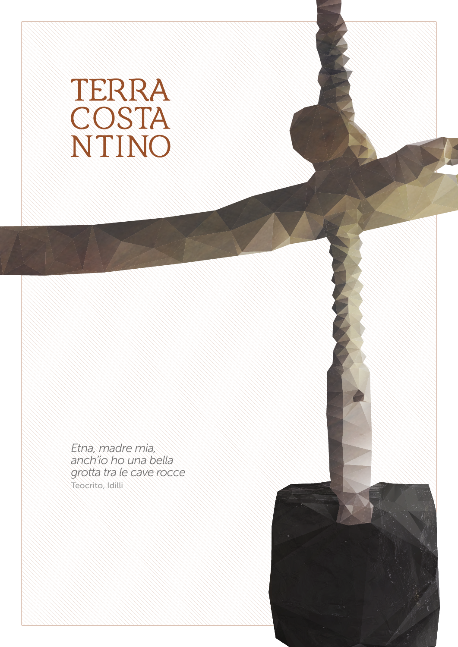## TERRA<br>COSTA<br>NTINO

*Etna, madre mia, anch'io ho una bella grotta tra le cave rocce* Teocrito, Idilli